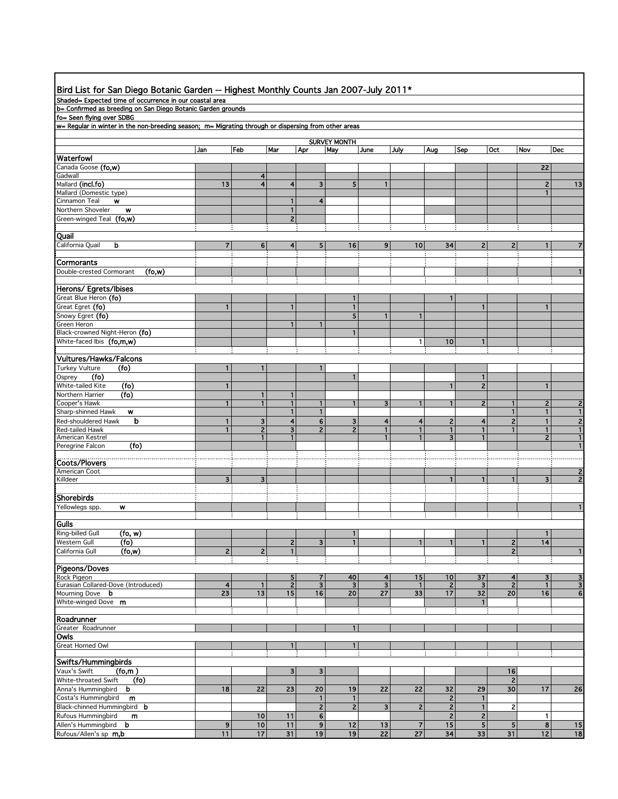| Bird List for San Diego Botanic Garden -- Highest Monthly Counts Jan 2007-July 2011*                 |                         |                                |                     |                              |                               |                              |                              |                      |                               |                     |                |                                  |
|------------------------------------------------------------------------------------------------------|-------------------------|--------------------------------|---------------------|------------------------------|-------------------------------|------------------------------|------------------------------|----------------------|-------------------------------|---------------------|----------------|----------------------------------|
| Shaded= Expected time of occurrence in our coastal area                                              |                         |                                |                     |                              |                               |                              |                              |                      |                               |                     |                |                                  |
| b= Confirmed as breeding on San Diego Botanic Garden grounds                                         |                         |                                |                     |                              |                               |                              |                              |                      |                               |                     |                |                                  |
| fo= Seen flying over SDBG                                                                            |                         |                                |                     |                              |                               |                              |                              |                      |                               |                     |                |                                  |
| w= Regular in winter in the non-breeding season; m= Migrating through or dispersing from other areas |                         |                                |                     |                              |                               |                              |                              |                      |                               |                     |                |                                  |
|                                                                                                      |                         |                                |                     |                              |                               |                              |                              |                      |                               |                     |                |                                  |
|                                                                                                      | Jan                     | Feb                            | Mar                 | Apr                          | <b>SURVEY MONTH</b><br>May    | June                         | July                         | Aug                  | Sep                           | <b>Oct</b>          | Nov            | Dec                              |
| Waterfowl                                                                                            |                         |                                |                     |                              |                               |                              |                              |                      |                               |                     |                |                                  |
| Canada Goose <b>(fo,w)</b>                                                                           |                         |                                |                     |                              |                               |                              |                              |                      |                               |                     | 22             |                                  |
| Gadwall                                                                                              |                         | 4                              |                     |                              |                               |                              |                              |                      |                               |                     |                |                                  |
| Mallard (incl.fo)                                                                                    | 13                      | 4                              | 4                   | 3                            | 5                             | $\mathbf{1}$                 |                              |                      |                               |                     | $\mathbf{2}$   | 13                               |
| Mallard (Domestic type)<br>Cinnamon Teal<br>w                                                        |                         |                                | 1                   | 4                            |                               |                              |                              |                      |                               |                     | $\mathbf{1}$   |                                  |
| Northern Shoveler<br>w                                                                               |                         |                                | 1                   |                              |                               |                              |                              |                      |                               |                     |                |                                  |
| Green-winged Teal (fo,w)                                                                             |                         |                                | $\overline{c}$      |                              |                               |                              |                              |                      |                               |                     |                |                                  |
|                                                                                                      |                         |                                |                     |                              |                               |                              |                              |                      |                               |                     |                |                                  |
| Quail                                                                                                |                         |                                |                     |                              |                               |                              |                              |                      |                               |                     |                |                                  |
| California Quail<br>b                                                                                | $\overline{\mathbf{r}}$ | 6                              | 4                   | 5                            | 16                            | 9                            | 10                           | 34                   | $\overline{c}$                | 2                   | 1              | $\overline{7}$                   |
|                                                                                                      |                         |                                |                     |                              |                               |                              |                              |                      |                               |                     |                |                                  |
| Cormorants                                                                                           |                         |                                |                     |                              |                               |                              |                              |                      |                               |                     |                |                                  |
| Double-crested Cormorant<br>(fo,w)                                                                   |                         |                                |                     |                              |                               |                              |                              |                      |                               |                     |                | $\mathbf{1}$                     |
| Herons/ Egrets/Ibises                                                                                |                         |                                |                     |                              |                               |                              |                              |                      |                               |                     |                |                                  |
| Great Blue Heron (fo)                                                                                |                         |                                |                     |                              | 1                             |                              |                              | $\mathbf{1}$         |                               |                     |                |                                  |
| Great Egret (fo)                                                                                     | $\mathbf{1}$            |                                | 1                   |                              | 1                             |                              |                              |                      | 1                             |                     | 1              |                                  |
| Snowy Egret (fo)                                                                                     |                         |                                |                     |                              | 5                             | $\mathbf{1}$                 | $\mathbf{1}$                 |                      |                               |                     |                |                                  |
| Green Heron                                                                                          |                         |                                |                     |                              |                               |                              |                              |                      |                               |                     |                |                                  |
| Black-crowned Night-Heron (fo)                                                                       |                         |                                |                     |                              | 1                             |                              |                              |                      |                               |                     |                |                                  |
| White-faced Ibis (fo,m,w)                                                                            |                         |                                |                     |                              |                               |                              | 1                            | 10                   | 1                             |                     |                |                                  |
| Vultures/Hawks/Falcons                                                                               |                         |                                |                     |                              |                               |                              |                              |                      |                               |                     |                |                                  |
| <b>Turkey Vulture</b><br>(fo)                                                                        | $\mathbf{1}$            | $\mathbf{1}$                   |                     | 1                            |                               |                              |                              |                      |                               |                     |                |                                  |
| (fo)<br>Osprey                                                                                       |                         |                                |                     |                              | 1                             |                              |                              |                      | 1                             |                     |                |                                  |
| White-tailed Kite<br>(fo)                                                                            | $\mathbf{1}$            |                                |                     |                              |                               |                              |                              | 1                    | $\mathbf{2}$                  |                     | $\mathbf{1}$   |                                  |
| (fo)<br>Northern Harrier                                                                             |                         | $\mathbf{1}$                   | 1                   |                              |                               |                              |                              |                      |                               |                     |                |                                  |
| Cooper's Hawk                                                                                        | $\mathbf{1}$            | 1                              | 1                   |                              | 1                             | 3                            |                              | 1                    | 2                             |                     | 2              | $\mathbf{2}$                     |
| Sharp-shinned Hawk<br>w                                                                              |                         |                                | 1                   | $\mathbf{1}$                 |                               |                              |                              |                      |                               | $\mathbf{1}$        | $\mathbf{1}$   | $\mathbf{1}$                     |
| b<br>Red-shouldered Hawk                                                                             | 1                       | 3                              | 4                   | 6                            | 3                             | 4                            | 4                            | 2                    | 4                             | $\overline{2}$      | 1              | $\mathbf{2}$                     |
| <b>Red-tailed Hawk</b>                                                                               | $\mathbf{1}$            | $\overline{2}$<br>$\mathbf{1}$ | 3                   | $\overline{2}$               | $\overline{2}$                | 1<br>1                       | $\mathbf{1}$<br>$\mathbf{1}$ | 1                    | 1                             |                     | $\mathbf{1}$   | $\mathbf{1}$                     |
| American Kestrel<br>(fo)<br>Peregrine Falcon                                                         |                         |                                | 1                   |                              |                               |                              |                              | 3 <sup>1</sup>       | 1                             |                     | $\overline{2}$ | $\mathbf{1}$<br>$\mathbf{1}$     |
|                                                                                                      |                         |                                |                     |                              |                               |                              |                              |                      |                               |                     |                |                                  |
| <b>Coots/Plovers</b>                                                                                 |                         |                                |                     |                              |                               |                              |                              |                      |                               |                     |                |                                  |
| American Coot                                                                                        |                         |                                |                     |                              |                               |                              |                              |                      |                               |                     |                | $\overline{\mathbf{c}}$          |
| Killdeer                                                                                             | 3                       | 3                              |                     |                              |                               |                              |                              | 1                    |                               |                     | 3              | $\overline{2}$                   |
|                                                                                                      |                         |                                |                     |                              |                               |                              |                              |                      |                               |                     |                |                                  |
| <b>Shorebirds</b>                                                                                    |                         |                                |                     |                              |                               |                              |                              |                      |                               |                     |                |                                  |
| Yellowlegs spp.<br>w                                                                                 |                         |                                |                     |                              |                               |                              |                              |                      |                               |                     |                | $\mathbf{1}$                     |
| Gulls                                                                                                |                         |                                |                     |                              |                               |                              |                              |                      |                               |                     |                |                                  |
| $($ fo, w $)$<br>Ring-billed Gull                                                                    |                         |                                |                     |                              | $\mathbf{1}$                  |                              |                              |                      |                               |                     | $\mathbf{1}$   |                                  |
| (f <sub>o</sub> )<br>Western Gull                                                                    |                         |                                | $\mathbf{z}$        | 3                            | $\mathbf{1}$                  |                              | $\mathbf{1}$                 | 1                    | 1                             | $\mathbf{2}$        | 14             |                                  |
| California Gull<br>(f <sub>O</sub> , w)                                                              | $\mathbf 2$             | $\overline{c}$                 | 1                   |                              |                               |                              |                              |                      |                               | $\overline{2}$      |                | $\mathbf{1}$                     |
|                                                                                                      |                         |                                |                     |                              |                               |                              |                              |                      |                               |                     |                |                                  |
| Pigeons/Doves                                                                                        |                         |                                |                     |                              |                               |                              |                              |                      |                               |                     |                |                                  |
| Rock Pigeon<br>Eurasian Collared-Dove (Introduced)                                                   | $\overline{\mathbf{4}}$ | $\mathbf{1}$                   | 5<br>$\overline{2}$ | 7<br>$\overline{\mathbf{3}}$ | 40<br>$\overline{\mathbf{3}}$ | 4<br>$\overline{\mathbf{3}}$ | 15<br>$\mathbf{1}$           | 10<br>$\overline{2}$ | 37<br>$\overline{\mathbf{3}}$ | 4<br>$\overline{2}$ | 3<br>1         | $\overline{3}$<br>$\overline{3}$ |
| Mourning Dove <b>b</b>                                                                               | 23                      | 13                             | 15                  | 16                           | 20                            | 27                           | 33                           | 17                   | 32                            | 20                  | 16             | 6                                |
| White-winged Dove m                                                                                  |                         |                                |                     |                              |                               |                              |                              |                      | $\mathbf{1}$                  |                     |                |                                  |
|                                                                                                      |                         |                                |                     |                              |                               |                              |                              |                      |                               |                     |                |                                  |
| Roadrunner                                                                                           |                         |                                |                     |                              |                               |                              |                              |                      |                               |                     |                |                                  |
| Greater Roadrunner                                                                                   |                         |                                |                     |                              | $\mathbf{1}$                  |                              |                              |                      |                               |                     |                |                                  |
| Owls                                                                                                 |                         |                                |                     |                              |                               |                              |                              |                      |                               |                     |                |                                  |
| Great Horned Owl                                                                                     |                         |                                |                     |                              | $\mathbf{1}$                  |                              |                              |                      |                               |                     |                |                                  |
| Swifts/Hummingbirds                                                                                  |                         |                                |                     |                              |                               |                              |                              |                      |                               |                     |                |                                  |
| Vaux's Swift<br>(fo,m)                                                                               |                         |                                | 3                   | 3                            |                               |                              |                              |                      |                               | 16                  |                |                                  |
| (f <sub>o</sub> )<br>White-throated Swift                                                            |                         |                                |                     |                              |                               |                              |                              |                      |                               | 2                   |                |                                  |
| Anna's Hummingbird<br>b                                                                              | 18                      | 22                             | 23                  | 20                           | 19                            | 22                           | 22                           | 32                   | 29                            | 30                  | 17             | 26                               |
| Costa's Hummingbird<br>m                                                                             |                         |                                |                     | 1                            | $\mathbf{1}$                  |                              |                              | 2                    | 1                             |                     |                |                                  |
| Black-chinned Hummingbird b                                                                          |                         |                                |                     | 2                            | 2                             | $\mathbf{3}$                 | $\overline{2}$               | 2                    | $\mathbf{1}$                  | 2                   |                |                                  |
| Rufous Hummingbird<br>m                                                                              |                         | 10                             | 11                  | 6                            |                               |                              |                              | 2                    | $\overline{\mathbf{c}}$       |                     | 1              |                                  |
| Allen's Hummingbird b                                                                                | 9                       | 10                             | 11                  | 9                            | 12                            | 13                           | 7                            | 15                   | 5                             | 5 <sub>5</sub>      | 8              | 15                               |
| Rufous/Allen's sp m,b                                                                                | 11                      | 17                             | 31                  | 19                           | 19                            | $\overline{22}$              | $\overline{27}$              | 34                   | 33                            | 31                  | 12             | 18                               |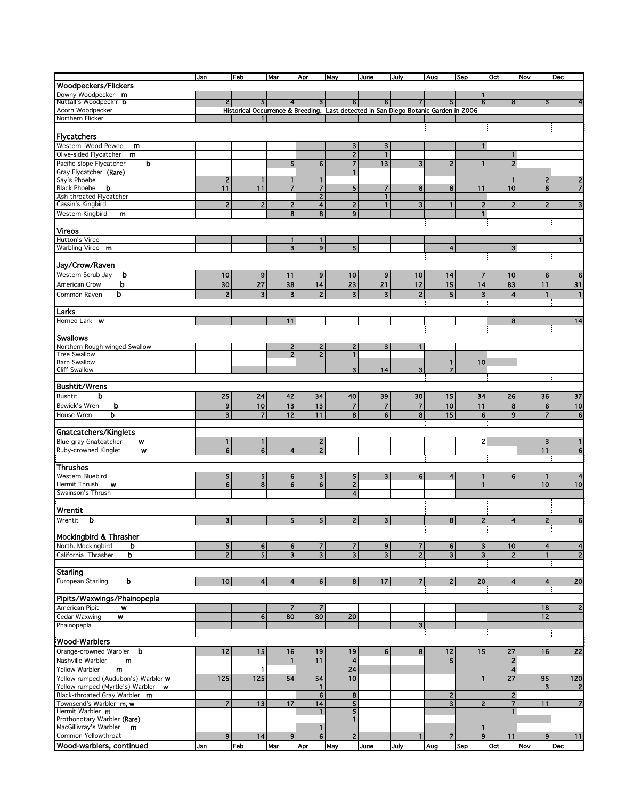|                                                    | Jan                     | Feb                                                                                 | Mar                     | Apr                      | May                      | June           | July           | Aug            | Sep                     | Oct                     | Nov            | Dec              |
|----------------------------------------------------|-------------------------|-------------------------------------------------------------------------------------|-------------------------|--------------------------|--------------------------|----------------|----------------|----------------|-------------------------|-------------------------|----------------|------------------|
| Woodpeckers/Flickers                               |                         |                                                                                     |                         |                          |                          |                |                |                |                         |                         |                |                  |
| Downy Woodpecker m                                 |                         |                                                                                     |                         |                          |                          |                |                |                | 1                       |                         |                |                  |
| Nuttall's Woodpeck'r <b>b</b>                      | 2                       | 51                                                                                  | $\overline{4}$          | 3                        | 61                       | 61             |                |                | 6                       | 8                       |                |                  |
| Acorn Woodpecker                                   |                         | Historical Occurrence & Breeding. Last detected in San Diego Botanic Garden in 2006 |                         |                          |                          |                |                |                |                         |                         |                |                  |
| Northern Flicker                                   |                         | п.                                                                                  |                         |                          |                          |                |                |                |                         |                         |                |                  |
|                                                    |                         |                                                                                     |                         |                          |                          |                |                |                |                         |                         |                |                  |
| Flycatchers                                        |                         |                                                                                     |                         |                          |                          |                |                |                |                         |                         |                |                  |
| Western Wood-Pewee<br>m                            |                         |                                                                                     |                         |                          | 3                        | 3              |                |                | 1                       |                         |                |                  |
| Olive-sided Flycatcher<br>m                        |                         |                                                                                     |                         |                          | $\overline{2}$           | $\mathbf{1}$   |                |                |                         | 1                       |                |                  |
| Pacific-slope Flycatcher<br>b                      |                         |                                                                                     | 5                       | 6                        | $\overline{7}$           | 13             | 3              | $\overline{2}$ | $\mathbf{1}$            | $\overline{2}$          |                |                  |
| Gray Flycatcher (Rare)                             |                         |                                                                                     |                         |                          | $\overline{1}$           |                |                |                |                         |                         |                |                  |
| Say's Phoebe                                       | $\overline{2}$          | $\mathbf{1}$                                                                        | 1                       | $\mathbf{1}$             |                          |                |                |                |                         | 1                       | $\mathbf{2}$   | 2                |
| <b>Black Phoebe</b><br>b                           | 11                      | 11                                                                                  | $\overline{7}$          | $\overline{\mathbf{r}}$  | 5                        | 7              | 8              | 8              | 11                      | 10                      | 8              | $\overline{7}$   |
| Ash-throated Flycatcher                            |                         |                                                                                     |                         | $\overline{2}$           |                          |                |                |                |                         |                         |                |                  |
| Cassin's Kingbird                                  | $\mathbf{z}$            | $\mathbf{2}$                                                                        | $\overline{c}$          | 4                        | $\mathbf{z}$             | $\mathbf{1}$   | 3              | $\mathbf{1}$   | $\mathbf{z}$            | $\overline{2}$          | $\overline{2}$ | 3                |
| <b>Western Kingbird</b><br>m                       |                         |                                                                                     | 8                       | 8                        | 9                        |                |                |                | 1                       |                         |                |                  |
|                                                    |                         |                                                                                     |                         |                          |                          |                |                |                |                         |                         |                |                  |
| <b>Vireos</b>                                      |                         |                                                                                     |                         |                          |                          |                |                |                |                         |                         |                |                  |
| Hutton's Vireo                                     |                         |                                                                                     | 1                       | $\mathbf{1}$             |                          |                |                |                |                         |                         |                |                  |
| Warbling Vireo m                                   |                         |                                                                                     | $\overline{\mathbf{3}}$ | $\overline{9}$           | 5                        |                |                | 4              |                         | 3                       |                |                  |
|                                                    |                         |                                                                                     |                         |                          |                          |                |                |                |                         |                         |                |                  |
| Jay/Crow/Raven                                     |                         |                                                                                     |                         |                          |                          |                |                |                |                         |                         |                |                  |
| Western Scrub-Jay<br>b                             | 10                      | 9                                                                                   | 11                      | 9                        | 10                       | 9              | 10             | 14             | $\overline{\mathbf{r}}$ | 10                      | 6              | 6                |
| b<br>American Crow                                 | 30                      | 27                                                                                  | 38                      | 14                       | 23                       | 21             | 12             | 15             | 14                      | 83                      | 11             | 31               |
| Common Raven<br>b                                  | $\overline{c}$          | 3                                                                                   | 3                       | $\overline{c}$           | 3                        |                | $\overline{2}$ | 5              | 3                       | $\overline{4}$          | $\mathbf{1}$   |                  |
|                                                    |                         |                                                                                     |                         |                          |                          | 3              |                |                |                         |                         |                | $\mathbf{1}$     |
|                                                    |                         |                                                                                     |                         |                          |                          |                |                |                |                         |                         |                |                  |
| Larks                                              |                         |                                                                                     |                         |                          |                          |                |                |                |                         |                         |                |                  |
| Horned Lark <b>w</b>                               |                         |                                                                                     | 11                      |                          |                          |                |                |                |                         | 8                       |                | 14               |
|                                                    |                         |                                                                                     |                         |                          |                          |                |                |                |                         |                         |                |                  |
| <b>Swallows</b>                                    |                         |                                                                                     |                         |                          |                          |                |                |                |                         |                         |                |                  |
| Northern Rough-winged Swallow                      |                         |                                                                                     | 2                       | 2                        | 2                        | 3              |                |                |                         |                         |                |                  |
| <b>Tree Swallow</b>                                |                         |                                                                                     | $\overline{2}$          | $\overline{2}$           | $\mathbf{1}$             |                |                |                |                         |                         |                |                  |
| <b>Barn Swallow</b>                                |                         |                                                                                     |                         |                          |                          |                |                |                | 10                      |                         |                |                  |
| <b>Cliff Swallow</b>                               |                         |                                                                                     |                         |                          | 3                        | 14             | 3              | $\overline{7}$ |                         |                         |                |                  |
|                                                    |                         |                                                                                     |                         |                          |                          |                |                |                |                         |                         |                |                  |
| <b>Bushtit/Wrens</b>                               |                         |                                                                                     |                         |                          |                          |                |                |                |                         |                         |                |                  |
| <b>Bushtit</b><br>b                                | 25                      | 24                                                                                  | 42                      | 34                       | 40                       | 39             | 30             | 15             | 34                      | 26                      | 36             | 37               |
| Bewick's Wren<br>b                                 | 9                       | 10                                                                                  | 13                      | 13                       | $\overline{\phantom{a}}$ | $\overline{7}$ | $\overline{7}$ | 10             | 11                      | 8                       | $\bf 6$        | 10               |
| House Wren<br>b                                    | $\overline{\mathbf{3}}$ | $\overline{7}$                                                                      | 12                      | 11                       | 8                        | 6              | 8              | 15             | 6                       | 9                       | $\overline{7}$ | 6                |
|                                                    |                         |                                                                                     |                         |                          |                          |                |                |                |                         |                         |                |                  |
| Gnatcatchers/Kinglets                              |                         |                                                                                     |                         |                          |                          |                |                |                |                         |                         |                |                  |
| Blue-gray Gnatcatcher<br>w                         | $\mathbf{1}$            | 1                                                                                   |                         | $\mathbf{2}$             |                          |                |                |                | 2                       |                         | $\mathbf{3}$   | 1                |
| Ruby-crowned Kinglet<br>W                          | 6 <sup>1</sup>          | 6 <sup>1</sup>                                                                      | 4                       | $\overline{2}$           |                          |                |                |                |                         |                         | 11             | 6                |
|                                                    |                         |                                                                                     |                         |                          |                          |                |                |                |                         |                         |                |                  |
| Thrushes                                           |                         |                                                                                     |                         |                          |                          |                |                |                |                         |                         |                |                  |
| Western Bluebird                                   | 5                       | 5 <sub>l</sub>                                                                      | 6                       | 3                        | 5                        | 3              | 6              | 4              | 1                       | 6                       | -1             | 4                |
| Hermit Thrush<br>w                                 | 6                       | 8                                                                                   | 6                       | 6                        | $\overline{\mathbf{c}}$  |                |                |                | $\mathbf{1}$            |                         | 10             | 10               |
| Swainson's Thrush                                  |                         |                                                                                     |                         |                          | $\overline{\mathbf{4}}$  |                |                |                |                         |                         |                |                  |
|                                                    |                         |                                                                                     |                         |                          |                          |                |                |                |                         |                         |                |                  |
| Wrentit                                            |                         |                                                                                     |                         |                          |                          |                |                |                |                         |                         |                |                  |
|                                                    |                         |                                                                                     |                         |                          |                          |                |                |                |                         |                         |                |                  |
| Wrentit<br>b                                       | 3 <sup>1</sup>          |                                                                                     | 5                       | 5                        | $\mathbf{2}$             | $\mathbf{3}$   |                | 8              | $\mathbf{z}$            | 4                       | $\mathbf{2}$   | 6                |
|                                                    |                         |                                                                                     |                         |                          |                          |                |                |                |                         |                         |                |                  |
| Mockingbird & Thrasher                             |                         |                                                                                     |                         |                          |                          |                |                |                |                         |                         |                |                  |
| North. Mockingbird<br>b                            | 5                       | $6 \mid$                                                                            | 6                       | $\overline{\phantom{a}}$ | $\overline{\phantom{a}}$ | 9              | 7              | 6              | 3                       | 10                      | 4              | $\boldsymbol{4}$ |
| þ<br>California Thrasher                           | $\overline{2}$          | 5 <sub>1</sub>                                                                      | $\mathbf{3}$            | $\mathbf{3}$             | $\overline{\mathbf{3}}$  | 3 <sup>1</sup> | 2              | $\mathbf{3}$   | 3 <sup>1</sup>          | $\overline{2}$          | $\mathbf{1}$   | $\overline{2}$   |
|                                                    |                         |                                                                                     |                         |                          |                          |                |                |                |                         |                         |                |                  |
| <b>Starling</b>                                    |                         |                                                                                     |                         |                          |                          |                |                |                |                         |                         |                |                  |
| European Starling<br>b                             | 10                      | $\overline{4}$                                                                      | $\overline{4}$          | 6                        | 8                        | 17             | $\overline{7}$ | $\overline{2}$ | 20                      | $\overline{\mathbf{4}}$ | $\overline{4}$ | 20               |
|                                                    |                         |                                                                                     |                         |                          |                          |                |                |                |                         |                         |                |                  |
| Pipits/Waxwings/Phainopepla                        |                         |                                                                                     |                         |                          |                          |                |                |                |                         |                         |                |                  |
| American Pipit<br>W                                |                         |                                                                                     | 7                       | 7                        |                          |                |                |                |                         |                         | 18             | $\overline{c}$   |
| Cedar Waxwing<br>W                                 |                         | 6 <sup>1</sup>                                                                      | 80                      | 80                       | 20                       |                |                |                |                         |                         | 12             |                  |
| Phainopepla                                        |                         |                                                                                     |                         |                          |                          |                | 3              |                |                         |                         |                |                  |
|                                                    |                         |                                                                                     |                         |                          |                          |                |                |                |                         |                         |                |                  |
| <b>Wood-Warblers</b>                               |                         |                                                                                     |                         |                          |                          |                |                |                |                         |                         |                |                  |
| b<br>Orange-crowned Warbler                        | 12                      | 15                                                                                  | 16                      | 19                       | 19                       | 6              | 8              | 12             | 15                      | 27                      | 16             | 22               |
| Nashville Warbler<br>m                             |                         |                                                                                     | $\mathbf{1}$            | 11                       | $\overline{\mathbf{4}}$  |                |                | 5              |                         | $\overline{\mathbf{c}}$ |                |                  |
|                                                    |                         | $\mathbf{1}$                                                                        |                         |                          | 24                       |                |                |                |                         |                         |                |                  |
| Yellow Warbler<br>m                                |                         |                                                                                     |                         |                          |                          |                |                |                |                         | 4                       |                |                  |
| Yellow-rumped (Audubon's) Warbler w                | 125                     | 125                                                                                 | 54                      | 54                       | 10                       |                |                |                | $\mathbf{1}$            | 27                      | 95             | 120              |
| Yellow-rumped (Myrtle's) Warbler w                 |                         |                                                                                     |                         | $\mathbf{1}$             |                          |                |                |                |                         |                         | 3              | $\mathbf{2}$     |
| Black-throated Gray Warbler m                      |                         |                                                                                     |                         | 6                        | 8                        |                |                | 2              |                         | $\overline{2}$          |                |                  |
| Townsend's Warbler m, w                            | $\overline{7}$          | 13                                                                                  | 17                      | 14                       | 5                        |                |                | 3              | $\overline{2}$          | $\overline{7}$          | 11             | $\overline{7}$   |
| Hermit Warbler m                                   |                         |                                                                                     |                         | $\mathbf{1}$             | 5 <sub>l</sub>           |                |                |                |                         | $\mathbf{1}$            |                |                  |
| Prothonotary Warbler (Rare)                        |                         |                                                                                     |                         |                          | $\mathbf{1}$             |                |                |                |                         |                         |                |                  |
| MacGillivray's Warbler<br>m<br>Common Yellowthroat |                         |                                                                                     |                         | 1                        |                          |                |                | $\overline{7}$ | 1                       |                         |                |                  |
|                                                    | 9 <sub>l</sub>          | 14                                                                                  | 9 <sub>l</sub>          | $\bf 6$                  | $\overline{2}$           |                | $\mathbf{1}$   |                | 9                       | 11                      | 9 <sub>l</sub> | 11               |
| Wood-warblers, continued                           | Jan                     | Feb                                                                                 | Mar                     | Apr                      | May                      | June           | July           | Aug            | Sep                     | Oct                     | Nov            | Dec              |